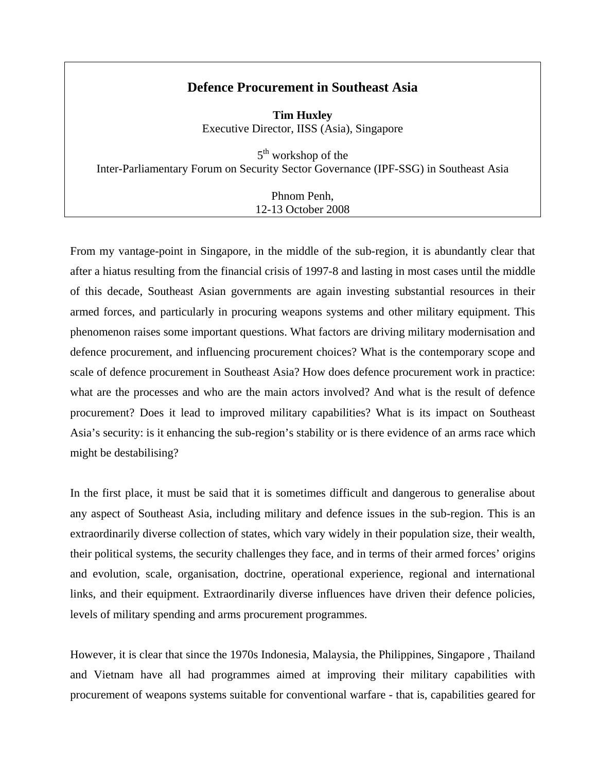# **Defence Procurement in Southeast Asia**

**Tim Huxley**  Executive Director, IISS (Asia), Singapore

5<sup>th</sup> workshop of the Inter-Parliamentary Forum on Security Sector Governance (IPF-SSG) in Southeast Asia

> Phnom Penh, 12-13 October 2008

From my vantage-point in Singapore, in the middle of the sub-region, it is abundantly clear that after a hiatus resulting from the financial crisis of 1997-8 and lasting in most cases until the middle of this decade, Southeast Asian governments are again investing substantial resources in their armed forces, and particularly in procuring weapons systems and other military equipment. This phenomenon raises some important questions. What factors are driving military modernisation and defence procurement, and influencing procurement choices? What is the contemporary scope and scale of defence procurement in Southeast Asia? How does defence procurement work in practice: what are the processes and who are the main actors involved? And what is the result of defence procurement? Does it lead to improved military capabilities? What is its impact on Southeast Asia's security: is it enhancing the sub-region's stability or is there evidence of an arms race which might be destabilising?

In the first place, it must be said that it is sometimes difficult and dangerous to generalise about any aspect of Southeast Asia, including military and defence issues in the sub-region. This is an extraordinarily diverse collection of states, which vary widely in their population size, their wealth, their political systems, the security challenges they face, and in terms of their armed forces' origins and evolution, scale, organisation, doctrine, operational experience, regional and international links, and their equipment. Extraordinarily diverse influences have driven their defence policies, levels of military spending and arms procurement programmes.

However, it is clear that since the 1970s Indonesia, Malaysia, the Philippines, Singapore , Thailand and Vietnam have all had programmes aimed at improving their military capabilities with procurement of weapons systems suitable for conventional warfare - that is, capabilities geared for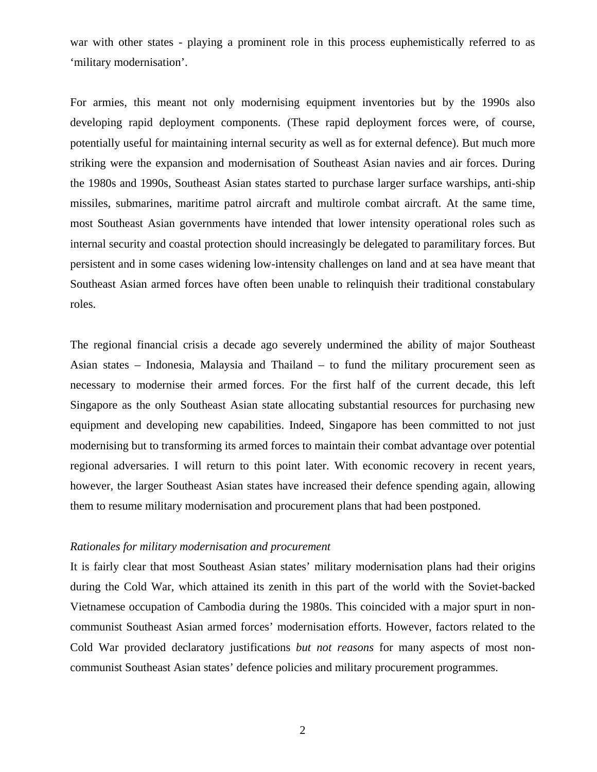war with other states - playing a prominent role in this process euphemistically referred to as 'military modernisation'.

For armies, this meant not only modernising equipment inventories but by the 1990s also developing rapid deployment components. (These rapid deployment forces were, of course, potentially useful for maintaining internal security as well as for external defence). But much more striking were the expansion and modernisation of Southeast Asian navies and air forces. During the 1980s and 1990s, Southeast Asian states started to purchase larger surface warships, anti-ship missiles, submarines, maritime patrol aircraft and multirole combat aircraft. At the same time, most Southeast Asian governments have intended that lower intensity operational roles such as internal security and coastal protection should increasingly be delegated to paramilitary forces. But persistent and in some cases widening low-intensity challenges on land and at sea have meant that Southeast Asian armed forces have often been unable to relinquish their traditional constabulary roles.

The regional financial crisis a decade ago severely undermined the ability of major Southeast Asian states – Indonesia, Malaysia and Thailand – to fund the military procurement seen as necessary to modernise their armed forces. For the first half of the current decade, this left Singapore as the only Southeast Asian state allocating substantial resources for purchasing new equipment and developing new capabilities. Indeed, Singapore has been committed to not just modernising but to transforming its armed forces to maintain their combat advantage over potential regional adversaries. I will return to this point later. With economic recovery in recent years, however, the larger Southeast Asian states have increased their defence spending again, allowing them to resume military modernisation and procurement plans that had been postponed.

## *Rationales for military modernisation and procurement*

It is fairly clear that most Southeast Asian states' military modernisation plans had their origins during the Cold War, which attained its zenith in this part of the world with the Soviet-backed Vietnamese occupation of Cambodia during the 1980s. This coincided with a major spurt in noncommunist Southeast Asian armed forces' modernisation efforts. However, factors related to the Cold War provided declaratory justifications *but not reasons* for many aspects of most noncommunist Southeast Asian states' defence policies and military procurement programmes.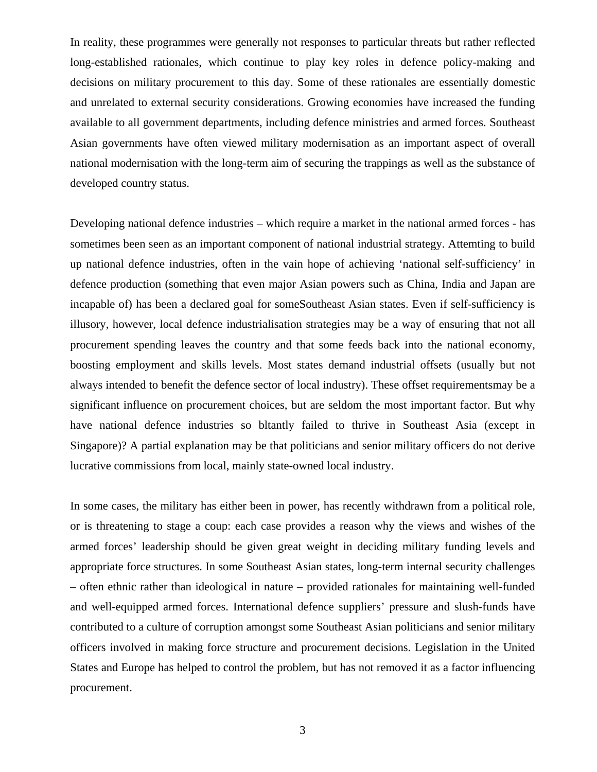In reality, these programmes were generally not responses to particular threats but rather reflected long-established rationales, which continue to play key roles in defence policy-making and decisions on military procurement to this day. Some of these rationales are essentially domestic and unrelated to external security considerations. Growing economies have increased the funding available to all government departments, including defence ministries and armed forces. Southeast Asian governments have often viewed military modernisation as an important aspect of overall national modernisation with the long-term aim of securing the trappings as well as the substance of developed country status.

Developing national defence industries – which require a market in the national armed forces - has sometimes been seen as an important component of national industrial strategy. Attemting to build up national defence industries, often in the vain hope of achieving 'national self-sufficiency' in defence production (something that even major Asian powers such as China, India and Japan are incapable of) has been a declared goal for someSoutheast Asian states. Even if self-sufficiency is illusory, however, local defence industrialisation strategies may be a way of ensuring that not all procurement spending leaves the country and that some feeds back into the national economy, boosting employment and skills levels. Most states demand industrial offsets (usually but not always intended to benefit the defence sector of local industry). These offset requirementsmay be a significant influence on procurement choices, but are seldom the most important factor. But why have national defence industries so bltantly failed to thrive in Southeast Asia (except in Singapore)? A partial explanation may be that politicians and senior military officers do not derive lucrative commissions from local, mainly state-owned local industry.

In some cases, the military has either been in power, has recently withdrawn from a political role, or is threatening to stage a coup: each case provides a reason why the views and wishes of the armed forces' leadership should be given great weight in deciding military funding levels and appropriate force structures. In some Southeast Asian states, long-term internal security challenges – often ethnic rather than ideological in nature – provided rationales for maintaining well-funded and well-equipped armed forces. International defence suppliers' pressure and slush-funds have contributed to a culture of corruption amongst some Southeast Asian politicians and senior military officers involved in making force structure and procurement decisions. Legislation in the United States and Europe has helped to control the problem, but has not removed it as a factor influencing procurement.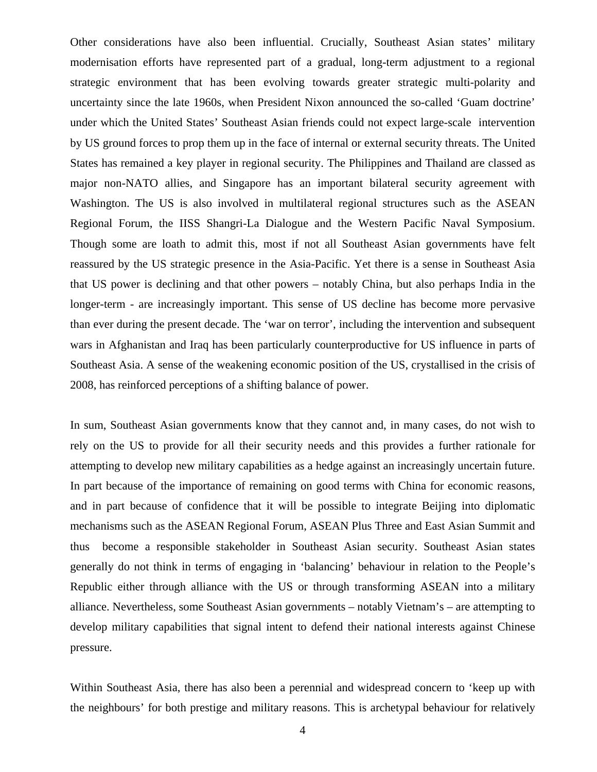Other considerations have also been influential. Crucially, Southeast Asian states' military modernisation efforts have represented part of a gradual, long-term adjustment to a regional strategic environment that has been evolving towards greater strategic multi-polarity and uncertainty since the late 1960s, when President Nixon announced the so-called 'Guam doctrine' under which the United States' Southeast Asian friends could not expect large-scale intervention by US ground forces to prop them up in the face of internal or external security threats. The United States has remained a key player in regional security. The Philippines and Thailand are classed as major non-NATO allies, and Singapore has an important bilateral security agreement with Washington. The US is also involved in multilateral regional structures such as the ASEAN Regional Forum, the IISS Shangri-La Dialogue and the Western Pacific Naval Symposium. Though some are loath to admit this, most if not all Southeast Asian governments have felt reassured by the US strategic presence in the Asia-Pacific. Yet there is a sense in Southeast Asia that US power is declining and that other powers – notably China, but also perhaps India in the longer-term - are increasingly important. This sense of US decline has become more pervasive than ever during the present decade. The 'war on terror', including the intervention and subsequent wars in Afghanistan and Iraq has been particularly counterproductive for US influence in parts of Southeast Asia. A sense of the weakening economic position of the US, crystallised in the crisis of 2008, has reinforced perceptions of a shifting balance of power.

In sum, Southeast Asian governments know that they cannot and, in many cases, do not wish to rely on the US to provide for all their security needs and this provides a further rationale for attempting to develop new military capabilities as a hedge against an increasingly uncertain future. In part because of the importance of remaining on good terms with China for economic reasons, and in part because of confidence that it will be possible to integrate Beijing into diplomatic mechanisms such as the ASEAN Regional Forum, ASEAN Plus Three and East Asian Summit and thus become a responsible stakeholder in Southeast Asian security. Southeast Asian states generally do not think in terms of engaging in 'balancing' behaviour in relation to the People's Republic either through alliance with the US or through transforming ASEAN into a military alliance. Nevertheless, some Southeast Asian governments – notably Vietnam's – are attempting to develop military capabilities that signal intent to defend their national interests against Chinese pressure.

Within Southeast Asia, there has also been a perennial and widespread concern to 'keep up with the neighbours' for both prestige and military reasons. This is archetypal behaviour for relatively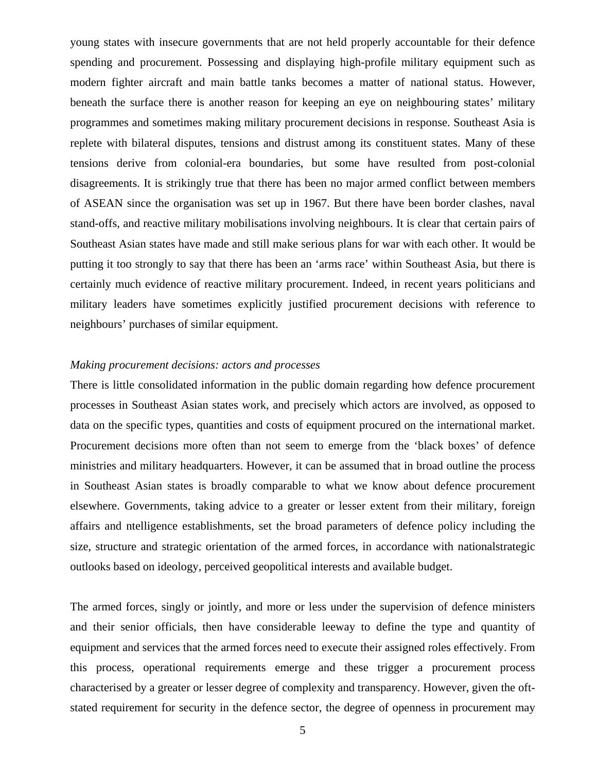young states with insecure governments that are not held properly accountable for their defence spending and procurement. Possessing and displaying high-profile military equipment such as modern fighter aircraft and main battle tanks becomes a matter of national status. However, beneath the surface there is another reason for keeping an eye on neighbouring states' military programmes and sometimes making military procurement decisions in response. Southeast Asia is replete with bilateral disputes, tensions and distrust among its constituent states. Many of these tensions derive from colonial-era boundaries, but some have resulted from post-colonial disagreements. It is strikingly true that there has been no major armed conflict between members of ASEAN since the organisation was set up in 1967. But there have been border clashes, naval stand-offs, and reactive military mobilisations involving neighbours. It is clear that certain pairs of Southeast Asian states have made and still make serious plans for war with each other. It would be putting it too strongly to say that there has been an 'arms race' within Southeast Asia, but there is certainly much evidence of reactive military procurement. Indeed, in recent years politicians and military leaders have sometimes explicitly justified procurement decisions with reference to neighbours' purchases of similar equipment.

### *Making procurement decisions: actors and processes*

There is little consolidated information in the public domain regarding how defence procurement processes in Southeast Asian states work, and precisely which actors are involved, as opposed to data on the specific types, quantities and costs of equipment procured on the international market. Procurement decisions more often than not seem to emerge from the 'black boxes' of defence ministries and military headquarters. However, it can be assumed that in broad outline the process in Southeast Asian states is broadly comparable to what we know about defence procurement elsewhere. Governments, taking advice to a greater or lesser extent from their military, foreign affairs and ntelligence establishments, set the broad parameters of defence policy including the size, structure and strategic orientation of the armed forces, in accordance with nationalstrategic outlooks based on ideology, perceived geopolitical interests and available budget.

The armed forces, singly or jointly, and more or less under the supervision of defence ministers and their senior officials, then have considerable leeway to define the type and quantity of equipment and services that the armed forces need to execute their assigned roles effectively. From this process, operational requirements emerge and these trigger a procurement process characterised by a greater or lesser degree of complexity and transparency. However, given the oftstated requirement for security in the defence sector, the degree of openness in procurement may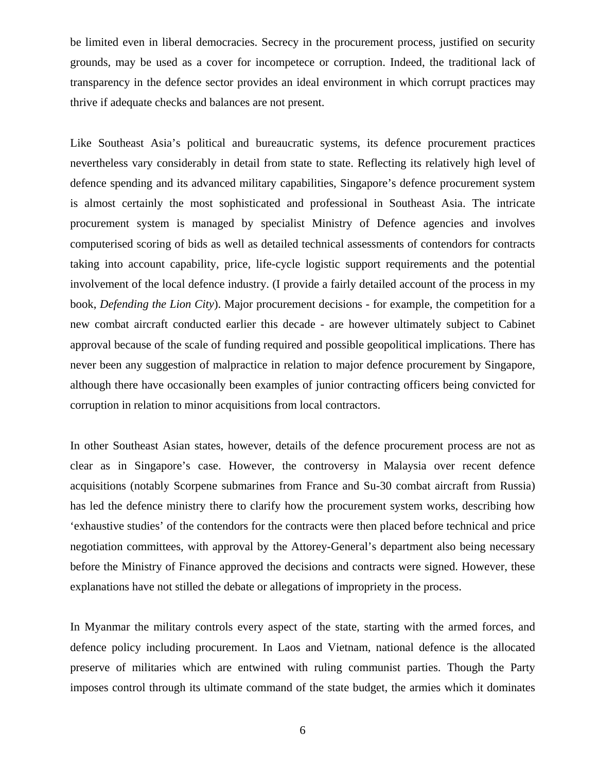be limited even in liberal democracies. Secrecy in the procurement process, justified on security grounds, may be used as a cover for incompetece or corruption. Indeed, the traditional lack of transparency in the defence sector provides an ideal environment in which corrupt practices may thrive if adequate checks and balances are not present.

Like Southeast Asia's political and bureaucratic systems, its defence procurement practices nevertheless vary considerably in detail from state to state. Reflecting its relatively high level of defence spending and its advanced military capabilities, Singapore's defence procurement system is almost certainly the most sophisticated and professional in Southeast Asia. The intricate procurement system is managed by specialist Ministry of Defence agencies and involves computerised scoring of bids as well as detailed technical assessments of contendors for contracts taking into account capability, price, life-cycle logistic support requirements and the potential involvement of the local defence industry. (I provide a fairly detailed account of the process in my book, *Defending the Lion City*). Major procurement decisions - for example, the competition for a new combat aircraft conducted earlier this decade - are however ultimately subject to Cabinet approval because of the scale of funding required and possible geopolitical implications. There has never been any suggestion of malpractice in relation to major defence procurement by Singapore, although there have occasionally been examples of junior contracting officers being convicted for corruption in relation to minor acquisitions from local contractors.

In other Southeast Asian states, however, details of the defence procurement process are not as clear as in Singapore's case. However, the controversy in Malaysia over recent defence acquisitions (notably Scorpene submarines from France and Su-30 combat aircraft from Russia) has led the defence ministry there to clarify how the procurement system works, describing how 'exhaustive studies' of the contendors for the contracts were then placed before technical and price negotiation committees, with approval by the Attorey-General's department also being necessary before the Ministry of Finance approved the decisions and contracts were signed. However, these explanations have not stilled the debate or allegations of impropriety in the process.

In Myanmar the military controls every aspect of the state, starting with the armed forces, and defence policy including procurement. In Laos and Vietnam, national defence is the allocated preserve of militaries which are entwined with ruling communist parties. Though the Party imposes control through its ultimate command of the state budget, the armies which it dominates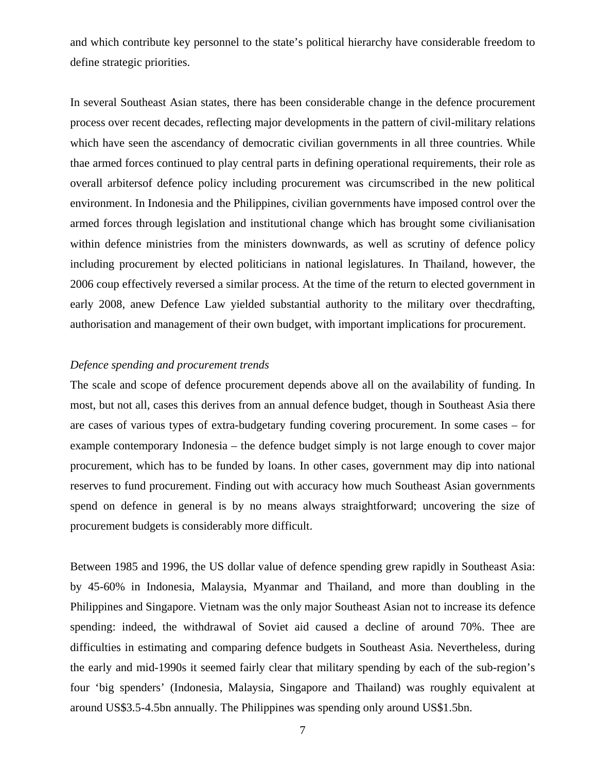and which contribute key personnel to the state's political hierarchy have considerable freedom to define strategic priorities.

In several Southeast Asian states, there has been considerable change in the defence procurement process over recent decades, reflecting major developments in the pattern of civil-military relations which have seen the ascendancy of democratic civilian governments in all three countries. While thae armed forces continued to play central parts in defining operational requirements, their role as overall arbitersof defence policy including procurement was circumscribed in the new political environment. In Indonesia and the Philippines, civilian governments have imposed control over the armed forces through legislation and institutional change which has brought some civilianisation within defence ministries from the ministers downwards, as well as scrutiny of defence policy including procurement by elected politicians in national legislatures. In Thailand, however, the 2006 coup effectively reversed a similar process. At the time of the return to elected government in early 2008, anew Defence Law yielded substantial authority to the military over thecdrafting, authorisation and management of their own budget, with important implications for procurement.

# *Defence spending and procurement trends*

The scale and scope of defence procurement depends above all on the availability of funding. In most, but not all, cases this derives from an annual defence budget, though in Southeast Asia there are cases of various types of extra-budgetary funding covering procurement. In some cases – for example contemporary Indonesia – the defence budget simply is not large enough to cover major procurement, which has to be funded by loans. In other cases, government may dip into national reserves to fund procurement. Finding out with accuracy how much Southeast Asian governments spend on defence in general is by no means always straightforward; uncovering the size of procurement budgets is considerably more difficult.

Between 1985 and 1996, the US dollar value of defence spending grew rapidly in Southeast Asia: by 45-60% in Indonesia, Malaysia, Myanmar and Thailand, and more than doubling in the Philippines and Singapore. Vietnam was the only major Southeast Asian not to increase its defence spending: indeed, the withdrawal of Soviet aid caused a decline of around 70%. Thee are difficulties in estimating and comparing defence budgets in Southeast Asia. Nevertheless, during the early and mid-1990s it seemed fairly clear that military spending by each of the sub-region's four 'big spenders' (Indonesia, Malaysia, Singapore and Thailand) was roughly equivalent at around US\$3.5-4.5bn annually. The Philippines was spending only around US\$1.5bn.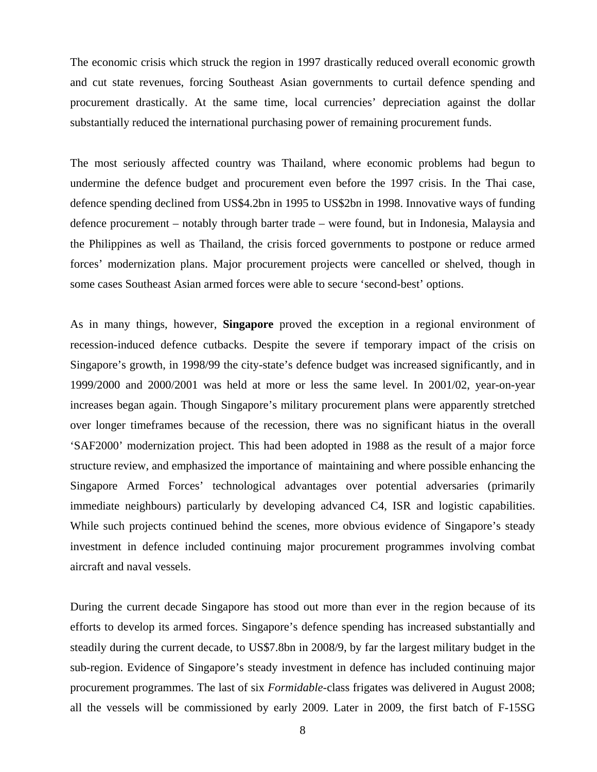The economic crisis which struck the region in 1997 drastically reduced overall economic growth and cut state revenues, forcing Southeast Asian governments to curtail defence spending and procurement drastically. At the same time, local currencies' depreciation against the dollar substantially reduced the international purchasing power of remaining procurement funds.

The most seriously affected country was Thailand, where economic problems had begun to undermine the defence budget and procurement even before the 1997 crisis. In the Thai case, defence spending declined from US\$4.2bn in 1995 to US\$2bn in 1998. Innovative ways of funding defence procurement – notably through barter trade – were found, but in Indonesia, Malaysia and the Philippines as well as Thailand, the crisis forced governments to postpone or reduce armed forces' modernization plans. Major procurement projects were cancelled or shelved, though in some cases Southeast Asian armed forces were able to secure 'second-best' options.

As in many things, however, **Singapore** proved the exception in a regional environment of recession-induced defence cutbacks. Despite the severe if temporary impact of the crisis on Singapore's growth, in 1998/99 the city-state's defence budget was increased significantly, and in 1999/2000 and 2000/2001 was held at more or less the same level. In 2001/02, year-on-year increases began again. Though Singapore's military procurement plans were apparently stretched over longer timeframes because of the recession, there was no significant hiatus in the overall 'SAF2000' modernization project. This had been adopted in 1988 as the result of a major force structure review, and emphasized the importance of maintaining and where possible enhancing the Singapore Armed Forces' technological advantages over potential adversaries (primarily immediate neighbours) particularly by developing advanced C4, ISR and logistic capabilities. While such projects continued behind the scenes, more obvious evidence of Singapore's steady investment in defence included continuing major procurement programmes involving combat aircraft and naval vessels.

During the current decade Singapore has stood out more than ever in the region because of its efforts to develop its armed forces. Singapore's defence spending has increased substantially and steadily during the current decade, to US\$7.8bn in 2008/9, by far the largest military budget in the sub-region. Evidence of Singapore's steady investment in defence has included continuing major procurement programmes. The last of six *Formidable*-class frigates was delivered in August 2008; all the vessels will be commissioned by early 2009. Later in 2009, the first batch of F-15SG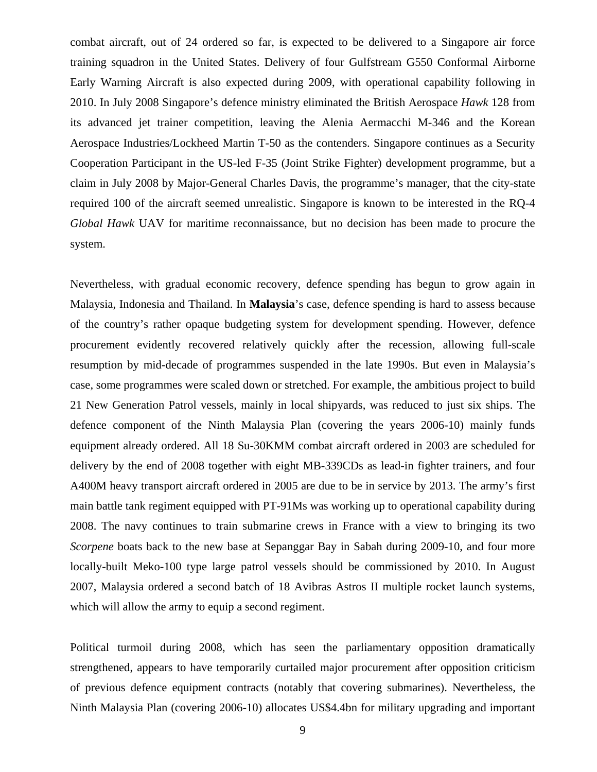combat aircraft, out of 24 ordered so far, is expected to be delivered to a Singapore air force training squadron in the United States. Delivery of four Gulfstream G550 Conformal Airborne Early Warning Aircraft is also expected during 2009, with operational capability following in 2010. In July 2008 Singapore's defence ministry eliminated the British Aerospace *Hawk* 128 from its advanced jet trainer competition, leaving the Alenia Aermacchi M-346 and the Korean Aerospace Industries/Lockheed Martin T-50 as the contenders. Singapore continues as a Security Cooperation Participant in the US-led F-35 (Joint Strike Fighter) development programme, but a claim in July 2008 by Major-General Charles Davis, the programme's manager, that the city-state required 100 of the aircraft seemed unrealistic. Singapore is known to be interested in the RQ-4 *Global Hawk* UAV for maritime reconnaissance, but no decision has been made to procure the system.

Nevertheless, with gradual economic recovery, defence spending has begun to grow again in Malaysia, Indonesia and Thailand. In **Malaysia**'s case, defence spending is hard to assess because of the country's rather opaque budgeting system for development spending. However, defence procurement evidently recovered relatively quickly after the recession, allowing full-scale resumption by mid-decade of programmes suspended in the late 1990s. But even in Malaysia's case, some programmes were scaled down or stretched. For example, the ambitious project to build 21 New Generation Patrol vessels, mainly in local shipyards, was reduced to just six ships. The defence component of the Ninth Malaysia Plan (covering the years 2006-10) mainly funds equipment already ordered. All 18 Su-30KMM combat aircraft ordered in 2003 are scheduled for delivery by the end of 2008 together with eight MB-339CDs as lead-in fighter trainers, and four A400M heavy transport aircraft ordered in 2005 are due to be in service by 2013. The army's first main battle tank regiment equipped with PT-91Ms was working up to operational capability during 2008. The navy continues to train submarine crews in France with a view to bringing its two *Scorpene* boats back to the new base at Sepanggar Bay in Sabah during 2009-10, and four more locally-built Meko-100 type large patrol vessels should be commissioned by 2010. In August 2007, Malaysia ordered a second batch of 18 Avibras Astros II multiple rocket launch systems, which will allow the army to equip a second regiment.

Political turmoil during 2008, which has seen the parliamentary opposition dramatically strengthened, appears to have temporarily curtailed major procurement after opposition criticism of previous defence equipment contracts (notably that covering submarines). Nevertheless, the Ninth Malaysia Plan (covering 2006-10) allocates US\$4.4bn for military upgrading and important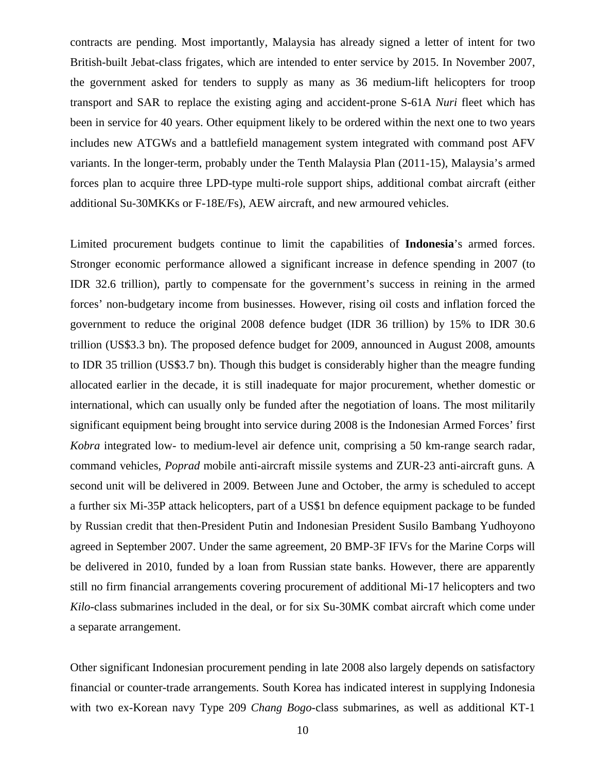contracts are pending. Most importantly, Malaysia has already signed a letter of intent for two British-built Jebat-class frigates, which are intended to enter service by 2015. In November 2007, the government asked for tenders to supply as many as 36 medium-lift helicopters for troop transport and SAR to replace the existing aging and accident-prone S-61A *Nuri* fleet which has been in service for 40 years. Other equipment likely to be ordered within the next one to two years includes new ATGWs and a battlefield management system integrated with command post AFV variants. In the longer-term, probably under the Tenth Malaysia Plan (2011-15), Malaysia's armed forces plan to acquire three LPD-type multi-role support ships, additional combat aircraft (either additional Su-30MKKs or F-18E/Fs), AEW aircraft, and new armoured vehicles.

Limited procurement budgets continue to limit the capabilities of **Indonesia**'s armed forces. Stronger economic performance allowed a significant increase in defence spending in 2007 (to IDR 32.6 trillion), partly to compensate for the government's success in reining in the armed forces' non-budgetary income from businesses. However, rising oil costs and inflation forced the government to reduce the original 2008 defence budget (IDR 36 trillion) by 15% to IDR 30.6 trillion (US\$3.3 bn). The proposed defence budget for 2009, announced in August 2008, amounts to IDR 35 trillion (US\$3.7 bn). Though this budget is considerably higher than the meagre funding allocated earlier in the decade, it is still inadequate for major procurement, whether domestic or international, which can usually only be funded after the negotiation of loans. The most militarily significant equipment being brought into service during 2008 is the Indonesian Armed Forces' first *Kobra* integrated low- to medium-level air defence unit, comprising a 50 km-range search radar, command vehicles, *Poprad* mobile anti-aircraft missile systems and ZUR-23 anti-aircraft guns. A second unit will be delivered in 2009. Between June and October, the army is scheduled to accept a further six Mi-35P attack helicopters, part of a US\$1 bn defence equipment package to be funded by Russian credit that then-President Putin and Indonesian President Susilo Bambang Yudhoyono agreed in September 2007. Under the same agreement, 20 BMP-3F IFVs for the Marine Corps will be delivered in 2010, funded by a loan from Russian state banks. However, there are apparently still no firm financial arrangements covering procurement of additional Mi-17 helicopters and two *Kilo*-class submarines included in the deal, or for six Su-30MK combat aircraft which come under a separate arrangement.

Other significant Indonesian procurement pending in late 2008 also largely depends on satisfactory financial or counter-trade arrangements. South Korea has indicated interest in supplying Indonesia with two ex-Korean navy Type 209 *Chang Bogo*-class submarines, as well as additional KT-1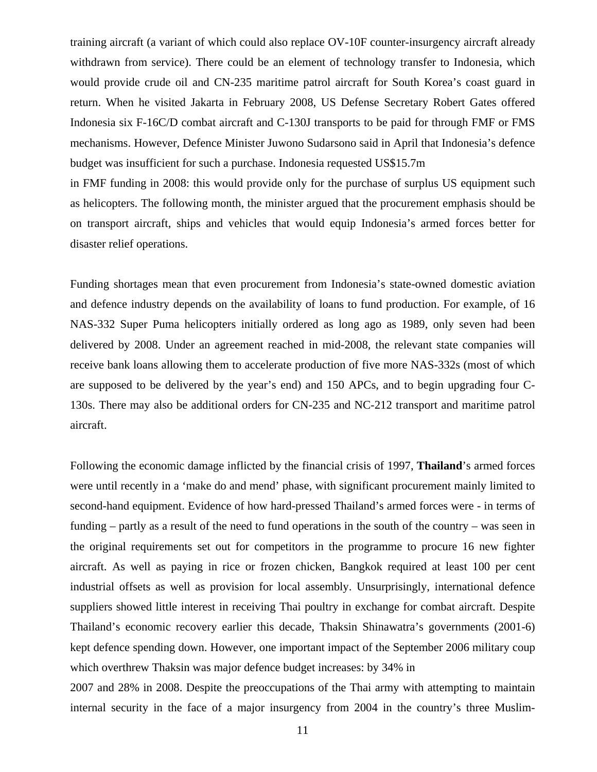training aircraft (a variant of which could also replace OV-10F counter-insurgency aircraft already withdrawn from service). There could be an element of technology transfer to Indonesia, which would provide crude oil and CN-235 maritime patrol aircraft for South Korea's coast guard in return. When he visited Jakarta in February 2008, US Defense Secretary Robert Gates offered Indonesia six F-16C/D combat aircraft and C-130J transports to be paid for through FMF or FMS mechanisms. However, Defence Minister Juwono Sudarsono said in April that Indonesia's defence budget was insufficient for such a purchase. Indonesia requested US\$15.7m

in FMF funding in 2008: this would provide only for the purchase of surplus US equipment such as helicopters. The following month, the minister argued that the procurement emphasis should be on transport aircraft, ships and vehicles that would equip Indonesia's armed forces better for disaster relief operations.

Funding shortages mean that even procurement from Indonesia's state-owned domestic aviation and defence industry depends on the availability of loans to fund production. For example, of 16 NAS-332 Super Puma helicopters initially ordered as long ago as 1989, only seven had been delivered by 2008. Under an agreement reached in mid-2008, the relevant state companies will receive bank loans allowing them to accelerate production of five more NAS-332s (most of which are supposed to be delivered by the year's end) and 150 APCs, and to begin upgrading four C-130s. There may also be additional orders for CN-235 and NC-212 transport and maritime patrol aircraft.

Following the economic damage inflicted by the financial crisis of 1997, **Thailand**'s armed forces were until recently in a 'make do and mend' phase, with significant procurement mainly limited to second-hand equipment. Evidence of how hard-pressed Thailand's armed forces were - in terms of funding – partly as a result of the need to fund operations in the south of the country – was seen in the original requirements set out for competitors in the programme to procure 16 new fighter aircraft. As well as paying in rice or frozen chicken, Bangkok required at least 100 per cent industrial offsets as well as provision for local assembly. Unsurprisingly, international defence suppliers showed little interest in receiving Thai poultry in exchange for combat aircraft. Despite Thailand's economic recovery earlier this decade, Thaksin Shinawatra's governments (2001-6) kept defence spending down. However, one important impact of the September 2006 military coup which overthrew Thaksin was major defence budget increases: by 34% in

2007 and 28% in 2008. Despite the preoccupations of the Thai army with attempting to maintain internal security in the face of a major insurgency from 2004 in the country's three Muslim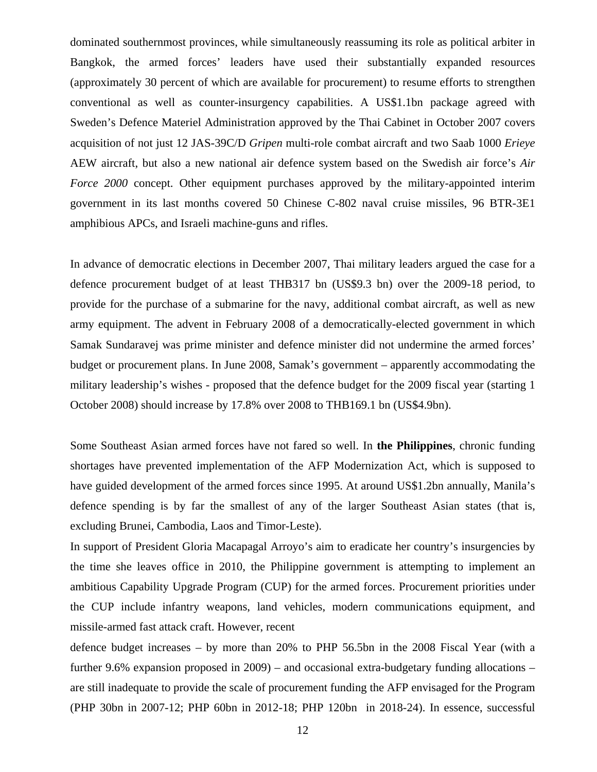dominated southernmost provinces, while simultaneously reassuming its role as political arbiter in Bangkok, the armed forces' leaders have used their substantially expanded resources (approximately 30 percent of which are available for procurement) to resume efforts to strengthen conventional as well as counter-insurgency capabilities. A US\$1.1bn package agreed with Sweden's Defence Materiel Administration approved by the Thai Cabinet in October 2007 covers acquisition of not just 12 JAS-39C/D *Gripen* multi-role combat aircraft and two Saab 1000 *Erieye* AEW aircraft, but also a new national air defence system based on the Swedish air force's *Air Force 2000* concept. Other equipment purchases approved by the military-appointed interim government in its last months covered 50 Chinese C-802 naval cruise missiles, 96 BTR-3E1 amphibious APCs, and Israeli machine-guns and rifles.

In advance of democratic elections in December 2007, Thai military leaders argued the case for a defence procurement budget of at least THB317 bn (US\$9.3 bn) over the 2009-18 period, to provide for the purchase of a submarine for the navy, additional combat aircraft, as well as new army equipment. The advent in February 2008 of a democratically-elected government in which Samak Sundaravej was prime minister and defence minister did not undermine the armed forces' budget or procurement plans. In June 2008, Samak's government – apparently accommodating the military leadership's wishes - proposed that the defence budget for the 2009 fiscal year (starting 1 October 2008) should increase by 17.8% over 2008 to THB169.1 bn (US\$4.9bn).

Some Southeast Asian armed forces have not fared so well. In **the Philippines**, chronic funding shortages have prevented implementation of the AFP Modernization Act, which is supposed to have guided development of the armed forces since 1995. At around US\$1.2bn annually, Manila's defence spending is by far the smallest of any of the larger Southeast Asian states (that is, excluding Brunei, Cambodia, Laos and Timor-Leste).

In support of President Gloria Macapagal Arroyo's aim to eradicate her country's insurgencies by the time she leaves office in 2010, the Philippine government is attempting to implement an ambitious Capability Upgrade Program (CUP) for the armed forces. Procurement priorities under the CUP include infantry weapons, land vehicles, modern communications equipment, and missile-armed fast attack craft. However, recent

defence budget increases – by more than 20% to PHP 56.5bn in the 2008 Fiscal Year (with a further 9.6% expansion proposed in 2009) – and occasional extra-budgetary funding allocations – are still inadequate to provide the scale of procurement funding the AFP envisaged for the Program (PHP 30bn in 2007-12; PHP 60bn in 2012-18; PHP 120bn in 2018-24). In essence, successful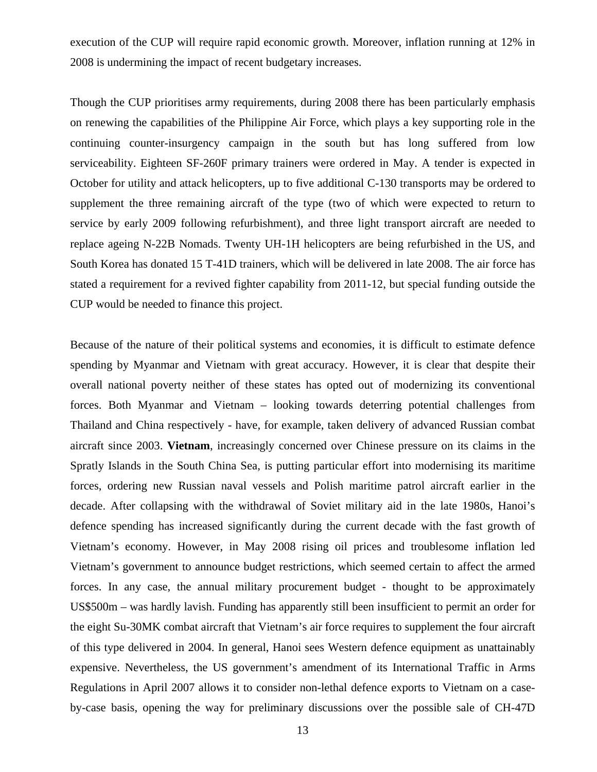execution of the CUP will require rapid economic growth. Moreover, inflation running at 12% in 2008 is undermining the impact of recent budgetary increases.

Though the CUP prioritises army requirements, during 2008 there has been particularly emphasis on renewing the capabilities of the Philippine Air Force, which plays a key supporting role in the continuing counter-insurgency campaign in the south but has long suffered from low serviceability. Eighteen SF-260F primary trainers were ordered in May. A tender is expected in October for utility and attack helicopters, up to five additional C-130 transports may be ordered to supplement the three remaining aircraft of the type (two of which were expected to return to service by early 2009 following refurbishment), and three light transport aircraft are needed to replace ageing N-22B Nomads. Twenty UH-1H helicopters are being refurbished in the US, and South Korea has donated 15 T-41D trainers, which will be delivered in late 2008. The air force has stated a requirement for a revived fighter capability from 2011-12, but special funding outside the CUP would be needed to finance this project.

Because of the nature of their political systems and economies, it is difficult to estimate defence spending by Myanmar and Vietnam with great accuracy. However, it is clear that despite their overall national poverty neither of these states has opted out of modernizing its conventional forces. Both Myanmar and Vietnam – looking towards deterring potential challenges from Thailand and China respectively - have, for example, taken delivery of advanced Russian combat aircraft since 2003. **Vietnam**, increasingly concerned over Chinese pressure on its claims in the Spratly Islands in the South China Sea, is putting particular effort into modernising its maritime forces, ordering new Russian naval vessels and Polish maritime patrol aircraft earlier in the decade. After collapsing with the withdrawal of Soviet military aid in the late 1980s, Hanoi's defence spending has increased significantly during the current decade with the fast growth of Vietnam's economy. However, in May 2008 rising oil prices and troublesome inflation led Vietnam's government to announce budget restrictions, which seemed certain to affect the armed forces. In any case, the annual military procurement budget - thought to be approximately US\$500m – was hardly lavish. Funding has apparently still been insufficient to permit an order for the eight Su-30MK combat aircraft that Vietnam's air force requires to supplement the four aircraft of this type delivered in 2004. In general, Hanoi sees Western defence equipment as unattainably expensive. Nevertheless, the US government's amendment of its International Traffic in Arms Regulations in April 2007 allows it to consider non-lethal defence exports to Vietnam on a caseby-case basis, opening the way for preliminary discussions over the possible sale of CH-47D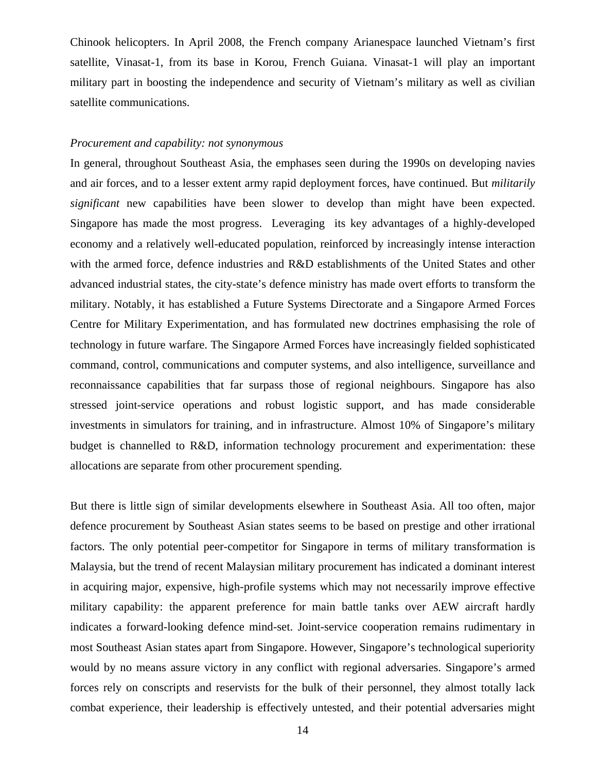Chinook helicopters. In April 2008, the French company Arianespace launched Vietnam's first satellite, Vinasat-1, from its base in Korou, French Guiana. Vinasat-1 will play an important military part in boosting the independence and security of Vietnam's military as well as civilian satellite communications.

#### *Procurement and capability: not synonymous*

In general, throughout Southeast Asia, the emphases seen during the 1990s on developing navies and air forces, and to a lesser extent army rapid deployment forces, have continued. But *militarily significant* new capabilities have been slower to develop than might have been expected. Singapore has made the most progress. Leveraging its key advantages of a highly-developed economy and a relatively well-educated population, reinforced by increasingly intense interaction with the armed force, defence industries and R&D establishments of the United States and other advanced industrial states, the city-state's defence ministry has made overt efforts to transform the military. Notably, it has established a Future Systems Directorate and a Singapore Armed Forces Centre for Military Experimentation, and has formulated new doctrines emphasising the role of technology in future warfare. The Singapore Armed Forces have increasingly fielded sophisticated command, control, communications and computer systems, and also intelligence, surveillance and reconnaissance capabilities that far surpass those of regional neighbours. Singapore has also stressed joint-service operations and robust logistic support, and has made considerable investments in simulators for training, and in infrastructure. Almost 10% of Singapore's military budget is channelled to R&D, information technology procurement and experimentation: these allocations are separate from other procurement spending.

But there is little sign of similar developments elsewhere in Southeast Asia. All too often, major defence procurement by Southeast Asian states seems to be based on prestige and other irrational factors. The only potential peer-competitor for Singapore in terms of military transformation is Malaysia, but the trend of recent Malaysian military procurement has indicated a dominant interest in acquiring major, expensive, high-profile systems which may not necessarily improve effective military capability: the apparent preference for main battle tanks over AEW aircraft hardly indicates a forward-looking defence mind-set. Joint-service cooperation remains rudimentary in most Southeast Asian states apart from Singapore. However, Singapore's technological superiority would by no means assure victory in any conflict with regional adversaries. Singapore's armed forces rely on conscripts and reservists for the bulk of their personnel, they almost totally lack combat experience, their leadership is effectively untested, and their potential adversaries might